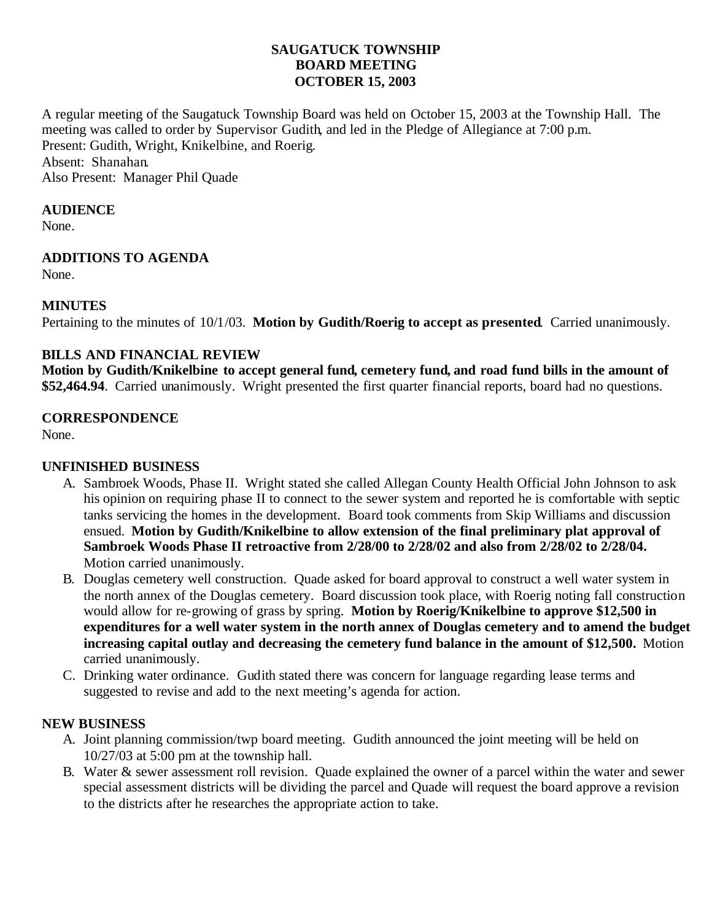### **SAUGATUCK TOWNSHIP BOARD MEETING OCTOBER 15, 2003**

A regular meeting of the Saugatuck Township Board was held on October 15, 2003 at the Township Hall. The meeting was called to order by Supervisor Gudith, and led in the Pledge of Allegiance at 7:00 p.m. Present: Gudith, Wright, Knikelbine, and Roerig. Absent: Shanahan.

Also Present: Manager Phil Quade

#### **AUDIENCE**

None.

#### **ADDITIONS TO AGENDA**

None.

#### **MINUTES**

Pertaining to the minutes of 10/1/03. **Motion by Gudith/Roerig to accept as presented**. Carried unanimously.

# **BILLS AND FINANCIAL REVIEW**

**Motion by Gudith/Knikelbine to accept general fund, cemetery fund, and road fund bills in the amount of \$52,464.94**. Carried unanimously. Wright presented the first quarter financial reports, board had no questions.

#### **CORRESPONDENCE**

None.

### **UNFINISHED BUSINESS**

- A. Sambroek Woods, Phase II. Wright stated she called Allegan County Health Official John Johnson to ask his opinion on requiring phase II to connect to the sewer system and reported he is comfortable with septic tanks servicing the homes in the development. Board took comments from Skip Williams and discussion ensued. **Motion by Gudith/Knikelbine to allow extension of the final preliminary plat approval of Sambroek Woods Phase II retroactive from 2/28/00 to 2/28/02 and also from 2/28/02 to 2/28/04.** Motion carried unanimously.
- B. Douglas cemetery well construction. Quade asked for board approval to construct a well water system in the north annex of the Douglas cemetery. Board discussion took place, with Roerig noting fall construction would allow for re-growing of grass by spring. **Motion by Roerig/Knikelbine to approve \$12,500 in expenditures for a well water system in the north annex of Douglas cemetery and to amend the budget increasing capital outlay and decreasing the cemetery fund balance in the amount of \$12,500.** Motion carried unanimously.
- C. Drinking water ordinance. Gudith stated there was concern for language regarding lease terms and suggested to revise and add to the next meeting's agenda for action.

#### **NEW BUSINESS**

- A. Joint planning commission/twp board meeting. Gudith announced the joint meeting will be held on 10/27/03 at 5:00 pm at the township hall.
- B. Water & sewer assessment roll revision. Quade explained the owner of a parcel within the water and sewer special assessment districts will be dividing the parcel and Quade will request the board approve a revision to the districts after he researches the appropriate action to take.